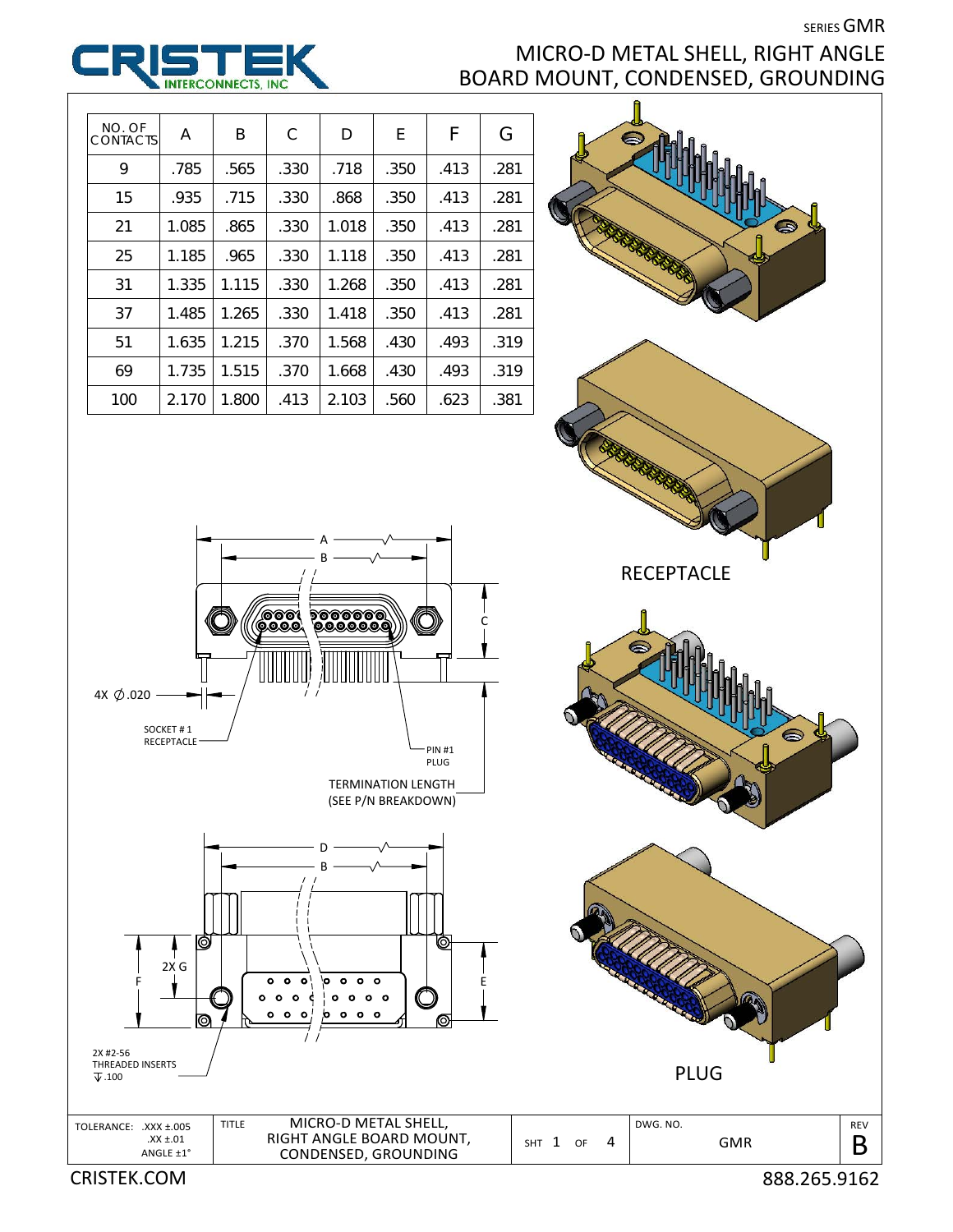**SERIES GMR** 

## MICRO‐D METAL SHELL, RIGHT ANGLE BOARD MOUNT, CONDENSED, GROUNDING





CRISTEK.COM 888.265.9162

REV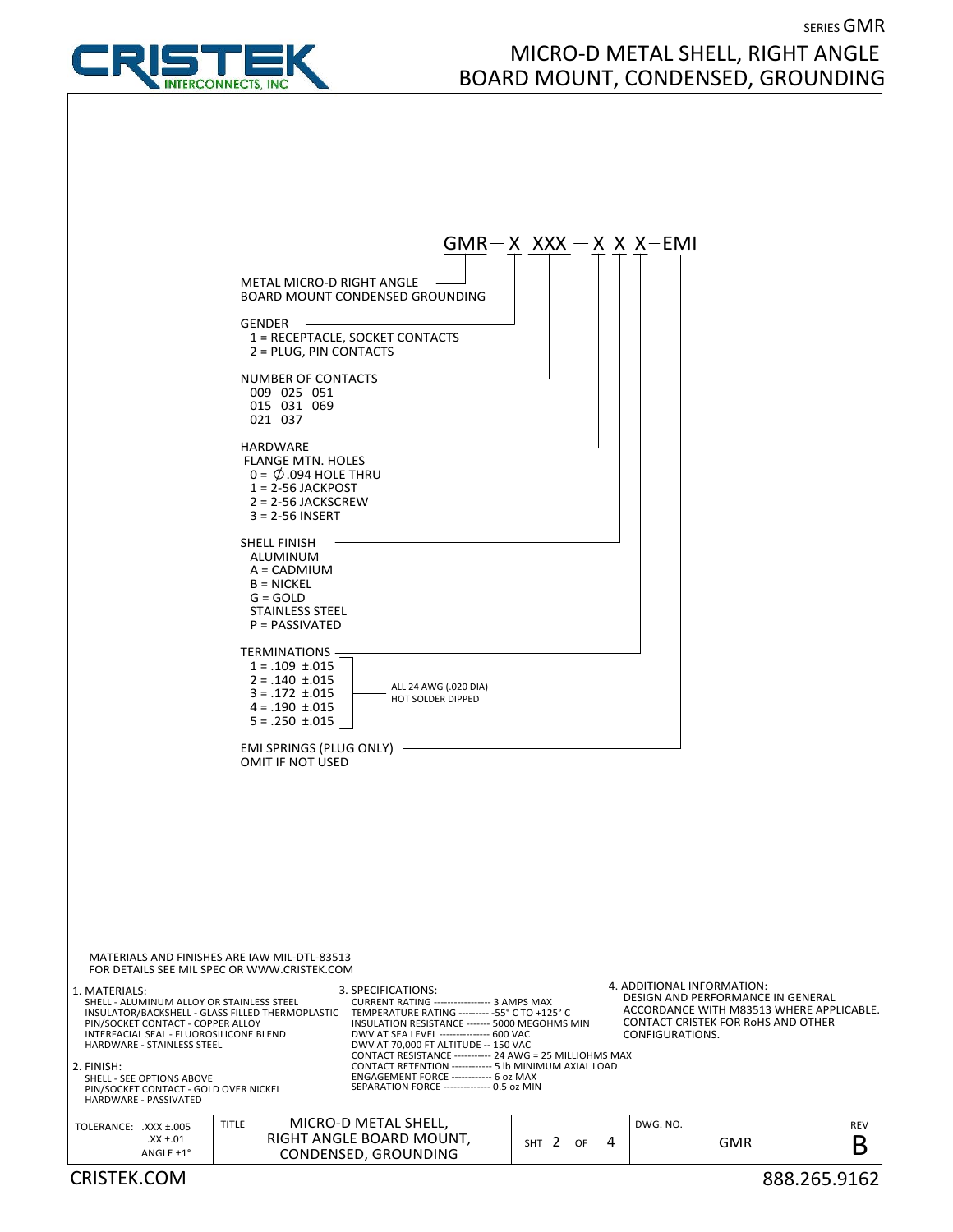

## SERIES GMR MICRO‐D METAL SHELL, RIGHT ANGLE BOARD MOUNT, CONDENSED, GROUNDING

|                                                                                                                                                                                                                                                                                                                                                                                                                                                                                                                                                                                                                                                                                                                                                                                                                             | $GMR-X XXX - X X X - EMI$ |         |                                               |                                                                                                                            |                 |
|-----------------------------------------------------------------------------------------------------------------------------------------------------------------------------------------------------------------------------------------------------------------------------------------------------------------------------------------------------------------------------------------------------------------------------------------------------------------------------------------------------------------------------------------------------------------------------------------------------------------------------------------------------------------------------------------------------------------------------------------------------------------------------------------------------------------------------|---------------------------|---------|-----------------------------------------------|----------------------------------------------------------------------------------------------------------------------------|-----------------|
| METAL MICRO-D RIGHT ANGLE<br>BOARD MOUNT CONDENSED GROUNDING                                                                                                                                                                                                                                                                                                                                                                                                                                                                                                                                                                                                                                                                                                                                                                |                           |         |                                               |                                                                                                                            |                 |
| $GENDER$ -<br>1 = RECEPTACLE, SOCKET CONTACTS<br>2 = PLUG, PIN CONTACTS                                                                                                                                                                                                                                                                                                                                                                                                                                                                                                                                                                                                                                                                                                                                                     |                           |         |                                               |                                                                                                                            |                 |
| NUMBER OF CONTACTS<br>009 025 051<br>015 031 069<br>021 037                                                                                                                                                                                                                                                                                                                                                                                                                                                                                                                                                                                                                                                                                                                                                                 |                           |         |                                               |                                                                                                                            |                 |
| HARDWARE -<br><b>FLANGE MTN. HOLES</b><br>$0 = \emptyset$ .094 HOLE THRU<br>$1 = 2 - 56$ JACKPOST<br>$2 = 2 - 56$ JACKSCREW<br>$3 = 2 - 56$ INSERT                                                                                                                                                                                                                                                                                                                                                                                                                                                                                                                                                                                                                                                                          |                           |         |                                               |                                                                                                                            |                 |
| SHELL FINISH<br>ALUMINUM<br>A = CADMIUM<br>$B = NICKEL$<br>$G = GOLD$<br><b>STAINLESS STEEL</b><br>$P = PASSIVATED$                                                                                                                                                                                                                                                                                                                                                                                                                                                                                                                                                                                                                                                                                                         |                           |         |                                               |                                                                                                                            |                 |
| TERMINATIONS -<br>$1 = .109 \pm .015$<br>$2 = .140 \pm .015$<br>ALL 24 AWG (.020 DIA)<br>$3 = .172 \pm .015$<br><b>HOT SOLDER DIPPED</b><br>$4 = .190 \pm .015$<br>$5 = .250 \pm .015$                                                                                                                                                                                                                                                                                                                                                                                                                                                                                                                                                                                                                                      |                           |         |                                               |                                                                                                                            |                 |
| EMI SPRINGS (PLUG ONLY) -<br>OMIT IF NOT USED                                                                                                                                                                                                                                                                                                                                                                                                                                                                                                                                                                                                                                                                                                                                                                               |                           |         |                                               |                                                                                                                            |                 |
|                                                                                                                                                                                                                                                                                                                                                                                                                                                                                                                                                                                                                                                                                                                                                                                                                             |                           |         |                                               |                                                                                                                            |                 |
| MATERIALS AND FINISHES ARE IAW MIL-DTL-83513<br>FOR DETAILS SEE MIL SPEC OR WWW.CRISTEK.COM                                                                                                                                                                                                                                                                                                                                                                                                                                                                                                                                                                                                                                                                                                                                 |                           |         |                                               |                                                                                                                            |                 |
| 1. MATERIALS:<br>3. SPECIFICATIONS:<br>SHELL - ALUMINUM ALLOY OR STAINLESS STEEL<br><b>CURRENT RATING ---------------- 3 AMPS MAX</b><br>TEMPERATURE RATING --------- - 55° C TO +125° C<br>INSULATOR/BACKSHELL - GLASS FILLED THERMOPLASTIC<br>INSULATION RESISTANCE ------- 5000 MEGOHMS MIN<br>PIN/SOCKET CONTACT - COPPER ALLOY<br>DWV AT SEA LEVEL --------------- 600 VAC<br>INTERFACIAL SEAL - FLUOROSILICONE BLEND<br>HARDWARE - STAINLESS STEEL<br>DWV AT 70,000 FT ALTITUDE -- 150 VAC<br>CONTACT RESISTANCE ----------- 24 AWG = 25 MILLIOHMS MAX<br>CONTACT RETENTION ------------ 5 lb MINIMUM AXIAL LOAD<br>2. FINISH:<br>ENGAGEMENT FORCE ------------ 6 oz MAX<br>SHELL - SEE OPTIONS ABOVE<br>SEPARATION FORCE -------------- 0.5 oz MIN<br>PIN/SOCKET CONTACT - GOLD OVER NICKEL<br>HARDWARE - PASSIVATED |                           |         | 4. ADDITIONAL INFORMATION:<br>CONFIGURATIONS. | DESIGN AND PERFORMANCE IN GENERAL<br>ACCORDANCE WITH M83513 WHERE APPLICABLE.<br><b>CONTACT CRISTEK FOR ROHS AND OTHER</b> |                 |
| MICRO-D METAL SHELL,<br><b>TITLE</b><br>TOLERANCE: .XXX ±.005<br>RIGHT ANGLE BOARD MOUNT,<br>$.XX \pm .01$                                                                                                                                                                                                                                                                                                                                                                                                                                                                                                                                                                                                                                                                                                                  | SHT 2                     | 4<br>OF | DWG. NO.                                      | <b>GMR</b>                                                                                                                 | <b>REV</b><br>Β |
| CONDENSED, GROUNDING<br>ANGLE ±1°<br><b>CRISTEK.COM</b>                                                                                                                                                                                                                                                                                                                                                                                                                                                                                                                                                                                                                                                                                                                                                                     |                           |         |                                               | 888.265.9162                                                                                                               |                 |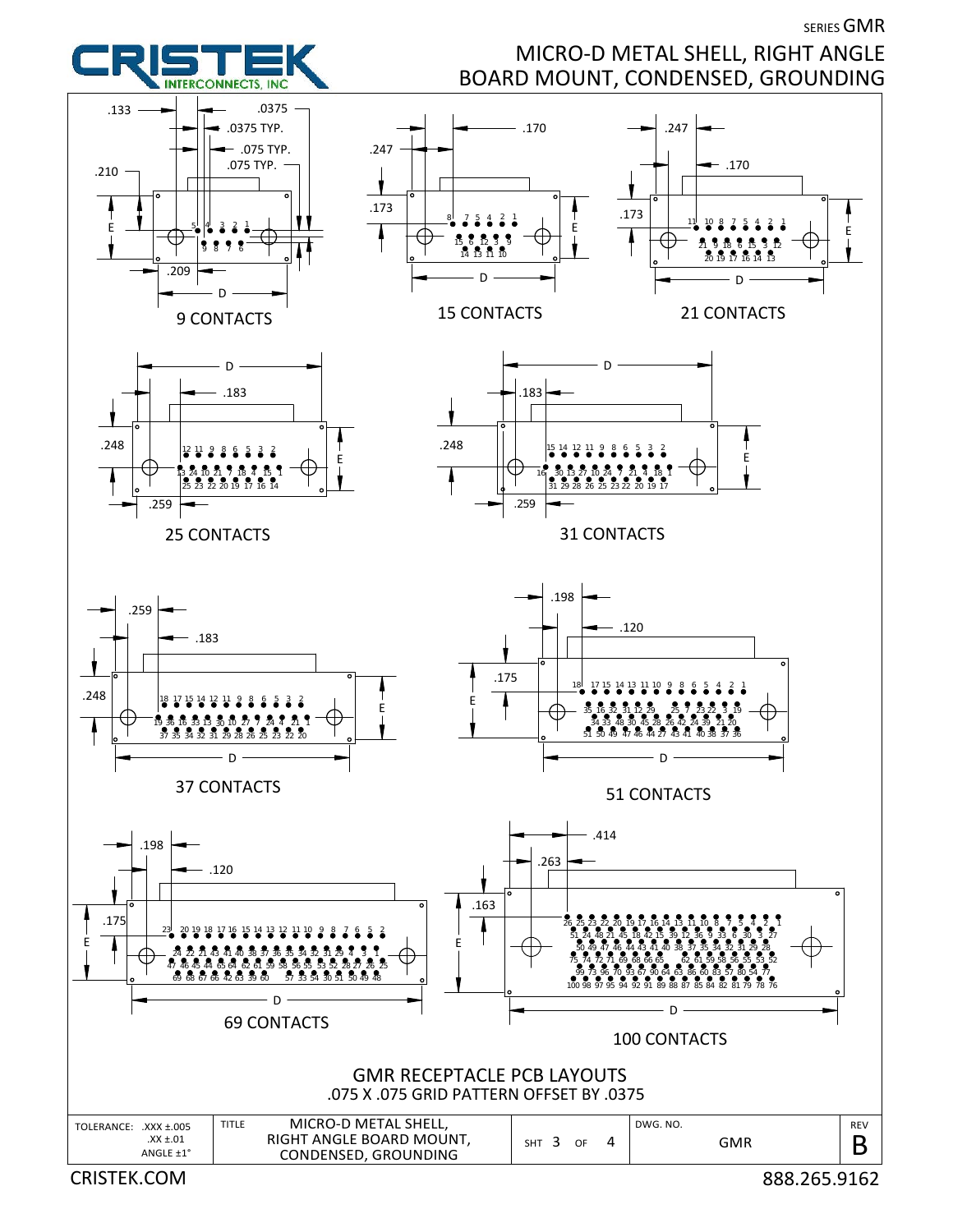

**SERIES GMR** 

MICRO‐D METAL SHELL, RIGHT ANGLE